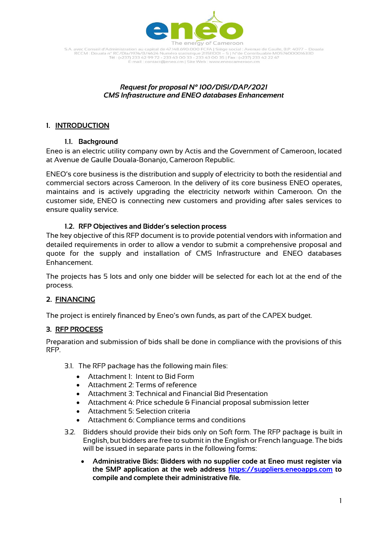

S.A. avec Conseil d'Administration au capital de 47.148.690.000 FCFA | Siège social : Avenue de Gaulle, B.P. 4077 – Douala<br>RCCM : Douala n° RC/Dla/1974/B/4624 Numéro statistique 211511001 – S | N°de Contribuable M057400001 -mail : contact@eneo.cm | Site Web : www.eneocameroon.cm

### *Request for proposal N° 100/DISI/DAP/2021 CMS Infrastructure and ENEO databases Enhancement*

## **1. INTRODUCTION**

## **1.1. Background**

Eneo is an electric utility company own by Actis and the Government of Cameroon, located at Avenue de Gaulle Douala-Bonanjo, Cameroon Republic.

ENEO's core business is the distribution and supply of electricity to both the residential and commercial sectors across Cameroon. In the delivery of its core business ENEO operates, maintains and is actively upgrading the electricity network within Cameroon. On the customer side, ENEO is connecting new customers and providing after sales services to ensure quality service.

## **1.2. RFP Objectives and Bidder's selection process**

The key objective of this RFP document is to provide potential vendors with information and detailed requirements in order to allow a vendor to submit a comprehensive proposal and quote for the supply and installation of CMS Infrastructure and ENEO databases Enhancement.

The projects has 5 lots and only one bidder will be selected for each lot at the end of the process.

# **2. FINANCING**

The project is entirely financed by Eneo's own funds, as part of the CAPEX budget.

### **3. RFP PROCESS**

Preparation and submission of bids shall be done in compliance with the provisions of this RFP.

3.1. The RFP package has the following main files:

- Attachment 1: Intent to Bid Form
- Attachment 2: Terms of reference
- Attachment 3: Technical and Financial Bid Presentation
- Attachment 4: Price schedule & Financial proposal submission letter
- Attachment 5: Selection criteria
- Attachment 6: Compliance terms and conditions
- 3.2. Bidders should provide their bids only on Soft form. The RFP package is built in English, but bidders are free to submit in the English or French language. The bids will be issued in separate parts in the following forms:
	- **Administrative Bids: Bidders with no supplier code at Eneo must register via the SMP application at the web address [https://suppliers.eneoapps.com](https://suppliers.eneoapps.com/) to compile and complete their administrative file.**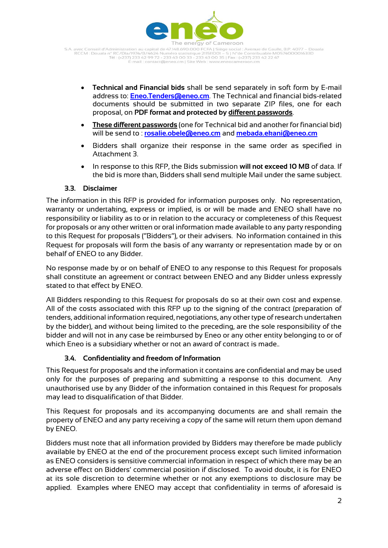

S.A. avec Conseil d'Administration au capital de 47.148.690.000 FCFA | Siège social : Avenue de Gaulle, B.P. 4077 – Douala<br>RCCM : Douala n° RC/Dla/1974/B/4624 Numéro statistique 211511001 – S | N°de Contribuable M057400001 -mail : contact@eneo.cm | Site Web : www.er ieocameroon.cm

- **Technical and Financial bids** shall be send separately in soft form by E-mail address to: **[Eneo.Tenders@eneo.cm](mailto:Eneo.Tenders@eneo.cm)**. The Technical and financial bids-related documents should be submitted in two separate ZIP files, one for each proposal, on **PDF format and protected by different passwords**.
- **These different passwords** (one for Technical bid and another for financial bid) will be send to : **[rosalie.obele@eneo.cm](mailto:rosalie.obele@eneo.cm)** and **[mebada.ekani@eneo.cm](mailto:mebada.ekani@eneo.cm)**
- Bidders shall organize their response in the same order as specified in Attachment 3.
- In response to this RFP, the Bids submission **will not exceed 10 MB** of data. If the bid is more than, Bidders shall send multiple Mail under the same subject.

### **3.3. Disclaimer**

The information in this RFP is provided for information purposes only. No representation, warranty or undertaking, express or implied, is or will be made and ENEO shall have no responsibility or liability as to or in relation to the accuracy or completeness of this Request for proposals or any other written or oral information made available to any party responding to this Request for proposals ("Bidders"), or their advisers. No information contained in this Request for proposals will form the basis of any warranty or representation made by or on behalf of ENEO to any Bidder.

No response made by or on behalf of ENEO to any response to this Request for proposals shall constitute an agreement or contract between ENEO and any Bidder unless expressly stated to that effect by ENEO.

All Bidders responding to this Request for proposals do so at their own cost and expense. All of the costs associated with this RFP up to the signing of the contract (preparation of tenders, additional information required, negotiations, any other type of research undertaken by the bidder), and without being limited to the preceding, are the sole responsibility of the bidder and will not in any case be reimbursed by Eneo or any other entity belonging to or of which Eneo is a subsidiary whether or not an award of contract is made..

### **3.4. Confidentiality and freedom of Information**

This Request for proposals and the information it contains are confidential and may be used only for the purposes of preparing and submitting a response to this document. Any unauthorised use by any Bidder of the information contained in this Request for proposals may lead to disqualification of that Bidder.

This Request for proposals and its accompanying documents are and shall remain the property of ENEO and any party receiving a copy of the same will return them upon demand by ENEO.

Bidders must note that all information provided by Bidders may therefore be made publicly available by ENEO at the end of the procurement process except such limited information as ENEO considers is sensitive commercial information in respect of which there may be an adverse effect on Bidders' commercial position if disclosed. To avoid doubt, it is for ENEO at its sole discretion to determine whether or not any exemptions to disclosure may be applied. Examples where ENEO may accept that confidentiality in terms of aforesaid is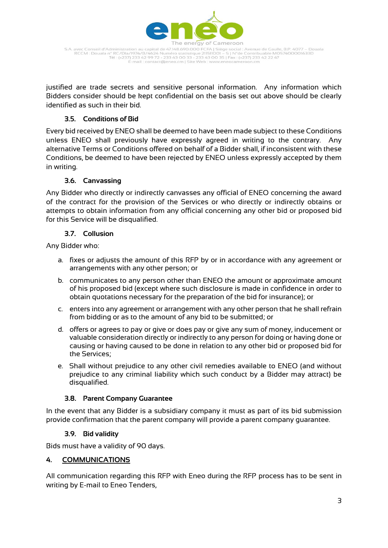

S.A. avec Conseil d'Administration au capital de 47.148.690.000 FCFA | Siège social : Avenue de Gaulle, B.P. 4077 – Douala<br>RCCM : Douala n° RC/Dla/1974/B/4624 Numéro statistique 211511001 – S | N°de Contribuable M057400001 -mail: contact@eneo.cm | Site Web : www.er peocameroon cm

justified are trade secrets and sensitive personal information. Any information which Bidders consider should be kept confidential on the basis set out above should be clearly identified as such in their bid.

## **3.5. Conditions of Bid**

Every bid received by ENEO shall be deemed to have been made subject to these Conditions unless ENEO shall previously have expressly agreed in writing to the contrary. Any alternative Terms or Conditions offered on behalf of a Bidder shall, if inconsistent with these Conditions, be deemed to have been rejected by ENEO unless expressly accepted by them in writing.

## **3.6. Canvassing**

Any Bidder who directly or indirectly canvasses any official of ENEO concerning the award of the contract for the provision of the Services or who directly or indirectly obtains or attempts to obtain information from any official concerning any other bid or proposed bid for this Service will be disqualified.

### **3.7. Collusion**

Any Bidder who:

- a. fixes or adjusts the amount of this RFP by or in accordance with any agreement or arrangements with any other person; or
- b. communicates to any person other than ENEO the amount or approximate amount of his proposed bid (except where such disclosure is made in confidence in order to obtain quotations necessary for the preparation of the bid for insurance); or
- c. enters into any agreement or arrangement with any other person that he shall refrain from bidding or as to the amount of any bid to be submitted; or
- d. offers or agrees to pay or give or does pay or give any sum of money, inducement or valuable consideration directly or indirectly to any person for doing or having done or causing or having caused to be done in relation to any other bid or proposed bid for the Services;
- e. Shall without prejudice to any other civil remedies available to ENEO (and without prejudice to any criminal liability which such conduct by a Bidder may attract) be disqualified.

### **3.8. Parent Company Guarantee**

In the event that any Bidder is a subsidiary company it must as part of its bid submission provide confirmation that the parent company will provide a parent company guarantee.

### **3.9. Bid validity**

Bids must have a validity of 90 days.

### **4. COMMUNICATIONS**

All communication regarding this RFP with Eneo during the RFP process has to be sent in writing by E-mail to Eneo Tenders,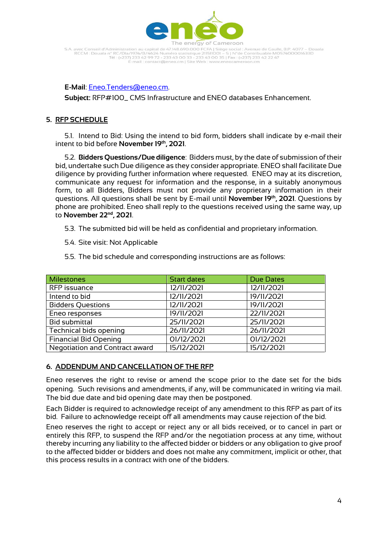

S.A. avec Conseil d'Administration au capital de 47.148.690.000 FCFA | Siège social : Avenue de Gaulle, B.P. 4077 – Douala<br>RCCM : Douala n° RC/Dla/1974/B/4624 Numéro statistique 211511001 – S | N°de Contribuable M057400001 mail: contact@eneo.cm | Site Web : www.eneocameroon.cm

#### **E-Mail**: [Eneo.Tenders@eneo.cm.](mailto:Eneo.Tenders@eneo.cm)

**Subject:** RFP#100\_ CMS Infrastructure and ENEO databases Enhancement.

#### **5. RFP SCHEDULE**

5.1. Intend to Bid: Using the intend to bid form, bidders shall indicate by e-mail their intent to bid before **November 19th, 2021**.

5.2. **Bidders Questions/Due diligence**: Bidders must, by the date of submission of their bid, undertake such Due diligence as they consider appropriate. ENEO shall facilitate Due diligence by providing further information where requested. ENEO may at its discretion, communicate any request for information and the response, in a suitably anonymous form, to all Bidders, Bidders must not provide any proprietary information in their questions. All questions shall be sent by E-mail until **November 19th, 2021**. Questions by phone are prohibited. Eneo shall reply to the questions received using the same way, up to **November 22nd, 2021**.

- 5.3. The submitted bid will be held as confidential and proprietary information.
- 5.4. Site visit: Not Applicable
- 5.5. The bid schedule and corresponding instructions are as follows:

| Milestones                     | <b>Start dates</b> | <b>Due Dates</b> |
|--------------------------------|--------------------|------------------|
| RFP issuance                   | 12/11/2021         | 12/11/2021       |
| Intend to bid                  | 12/11/2021         | 19/11/2021       |
| <b>Bidders Questions</b>       | 12/11/2021         | 19/11/2021       |
| Eneo responses                 | 19/11/2021         | 22/11/2021       |
| <b>Bid submittal</b>           | 25/11/2021         | 25/11/2021       |
| Technical bids opening         | 26/11/2021         | 26/11/2021       |
| <b>Financial Bid Opening</b>   | 01/12/2021         | 01/12/2021       |
| Negotiation and Contract award | 15/12/2021         | 15/12/2021       |

### **6. ADDENDUM AND CANCELLATION OF THE RFP**

Eneo reserves the right to revise or amend the scope prior to the date set for the bids opening. Such revisions and amendments, if any, will be communicated in writing via mail. The bid due date and bid opening date may then be postponed.

Each Bidder is required to acknowledge receipt of any amendment to this RFP as part of its bid. Failure to acknowledge receipt off all amendments may cause rejection of the bid.

Eneo reserves the right to accept or reject any or all bids received, or to cancel in part or entirely this RFP, to suspend the RFP and/or the negotiation process at any time, without thereby incurring any liability to the affected bidder or bidders or any obligation to give proof to the affected bidder or bidders and does not make any commitment, implicit or other, that this process results in a contract with one of the bidders.